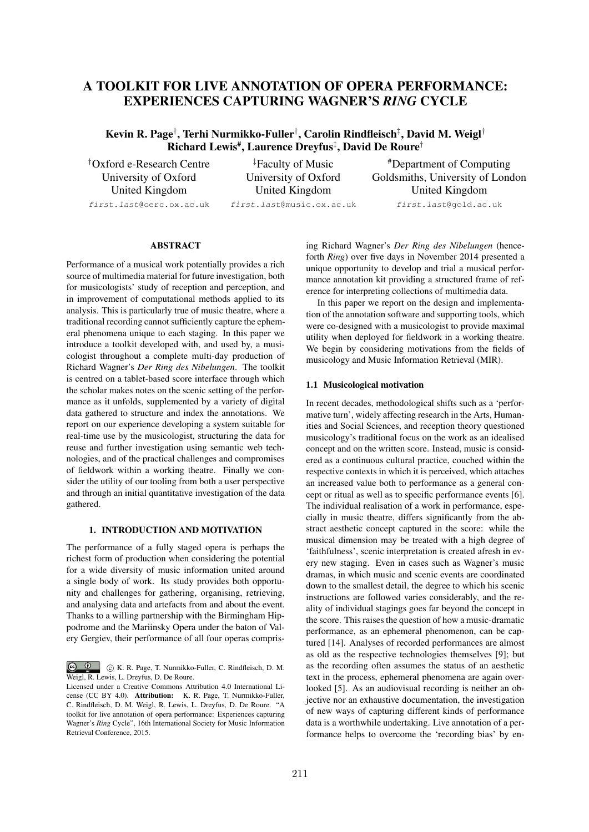# A TOOLKIT FOR LIVE ANNOTATION OF OPERA PERFORMANCE: EXPERIENCES CAPTURING WAGNER'S *RING* CYCLE

Kevin R. Page*†* , Terhi Nurmikko-Fuller*†* , Carolin Rindfleisch*‡* , David M. Weigl*†* Richard Lewis#, Laurence Dreyfus*‡* , David De Roure*†*

*†* Oxford e-Research Centre University of Oxford United Kingdom *first.last*@oerc.ox.ac.uk

*‡* Faculty of Music University of Oxford United Kingdom

*first.last*@music.ox.ac.uk

#Department of Computing Goldsmiths, University of London United Kingdom

*first.last*@gold.ac.uk

# ABSTRACT

Performance of a musical work potentially provides a rich source of multimedia material for future investigation, both for musicologists' study of reception and perception, and in improvement of computational methods applied to its analysis. This is particularly true of music theatre, where a traditional recording cannot sufficiently capture the ephemeral phenomena unique to each staging. In this paper we introduce a toolkit developed with, and used by, a musicologist throughout a complete multi-day production of Richard Wagner's *Der Ring des Nibelungen*. The toolkit is centred on a tablet-based score interface through which the scholar makes notes on the scenic setting of the performance as it unfolds, supplemented by a variety of digital data gathered to structure and index the annotations. We report on our experience developing a system suitable for real-time use by the musicologist, structuring the data for reuse and further investigation using semantic web technologies, and of the practical challenges and compromises of fieldwork within a working theatre. Finally we consider the utility of our tooling from both a user perspective and through an initial quantitative investigation of the data gathered.

# 1. INTRODUCTION AND MOTIVATION

The performance of a fully staged opera is perhaps the richest form of production when considering the potential for a wide diversity of music information united around a single body of work. Its study provides both opportunity and challenges for gathering, organising, retrieving, and analysing data and artefacts from and about the event. Thanks to a willing partnership with the Birmingham Hippodrome and the Mariinsky Opera under the baton of Valery Gergiev, their performance of all four operas comprising Richard Wagner's *Der Ring des Nibelungen* (henceforth *Ring*) over five days in November 2014 presented a unique opportunity to develop and trial a musical performance annotation kit providing a structured frame of reference for interpreting collections of multimedia data.

In this paper we report on the design and implementation of the annotation software and supporting tools, which were co-designed with a musicologist to provide maximal utility when deployed for fieldwork in a working theatre. We begin by considering motivations from the fields of musicology and Music Information Retrieval (MIR).

## 1.1 Musicological motivation

In recent decades, methodological shifts such as a 'performative turn', widely affecting research in the Arts, Humanities and Social Sciences, and reception theory questioned musicology's traditional focus on the work as an idealised concept and on the written score. Instead, music is considered as a continuous cultural practice, couched within the respective contexts in which it is perceived, which attaches an increased value both to performance as a general concept or ritual as well as to specific performance events [6]. The individual realisation of a work in performance, especially in music theatre, differs significantly from the abstract aesthetic concept captured in the score: while the musical dimension may be treated with a high degree of 'faithfulness', scenic interpretation is created afresh in every new staging. Even in cases such as Wagner's music dramas, in which music and scenic events are coordinated down to the smallest detail, the degree to which his scenic instructions are followed varies considerably, and the reality of individual stagings goes far beyond the concept in the score. This raises the question of how a music-dramatic performance, as an ephemeral phenomenon, can be captured [14]. Analyses of recorded performances are almost as old as the respective technologies themselves [9]; but as the recording often assumes the status of an aesthetic text in the process, ephemeral phenomena are again overlooked [5]. As an audiovisual recording is neither an objective nor an exhaustive documentation, the investigation of new ways of capturing different kinds of performance data is a worthwhile undertaking. Live annotation of a performance helps to overcome the 'recording bias' by en-

c K. R. Page, T. Nurmikko-Fuller, C. Rindfleisch, D. M. Weigl, R. Lewis, L. Dreyfus, D. De Roure.

Licensed under a Creative Commons Attribution 4.0 International License (CC BY 4.0). Attribution: K. R. Page, T. Nurmikko-Fuller, C. Rindfleisch, D. M. Weigl, R. Lewis, L. Dreyfus, D. De Roure. "A toolkit for live annotation of opera performance: Experiences capturing Wagner's *Ring* Cycle", 16th International Society for Music Information Retrieval Conference, 2015.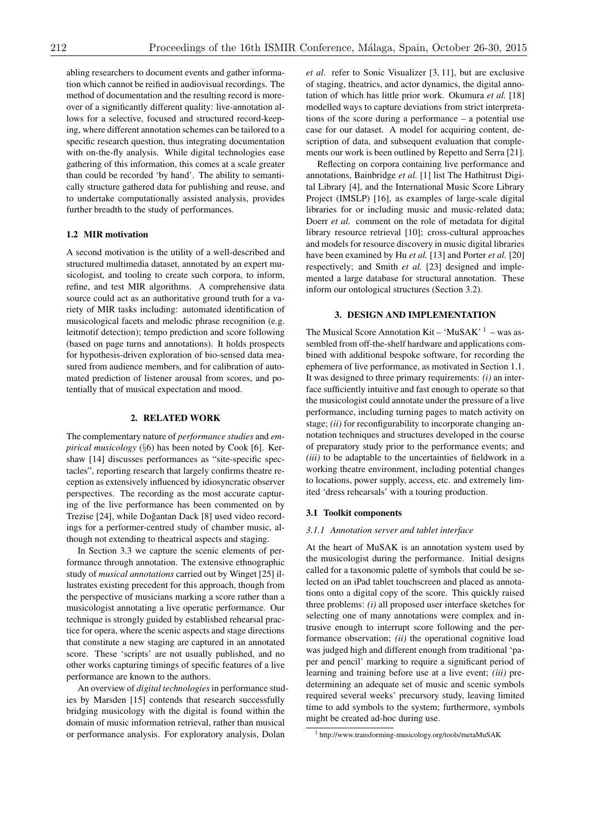abling researchers to document events and gather information which cannot be reified in audiovisual recordings. The method of documentation and the resulting record is moreover of a significantly different quality: live-annotation allows for a selective, focused and structured record-keeping, where different annotation schemes can be tailored to a specific research question, thus integrating documentation with on-the-fly analysis. While digital technologies ease gathering of this information, this comes at a scale greater than could be recorded 'by hand'. The ability to semantically structure gathered data for publishing and reuse, and to undertake computationally assisted analysis, provides further breadth to the study of performances.

## 1.2 MIR motivation

A second motivation is the utility of a well-described and structured multimedia dataset, annotated by an expert musicologist, and tooling to create such corpora, to inform, refine, and test MIR algorithms. A comprehensive data source could act as an authoritative ground truth for a variety of MIR tasks including: automated identification of musicological facets and melodic phrase recognition (e.g. leitmotif detection); tempo prediction and score following (based on page turns and annotations). It holds prospects for hypothesis-driven exploration of bio-sensed data measured from audience members, and for calibration of automated prediction of listener arousal from scores, and potentially that of musical expectation and mood.

#### 2. RELATED WORK

The complementary nature of *performance studies* and *empirical musicology* (*§*6) has been noted by Cook [6]. Kershaw [14] discusses performances as "site-specific spectacles", reporting research that largely confirms theatre reception as extensively influenced by idiosyncratic observer perspectives. The recording as the most accurate capturing of the live performance has been commented on by Trezise [24], while Doğantan Dack [8] used video recordings for a performer-centred study of chamber music, although not extending to theatrical aspects and staging.

In Section 3.3 we capture the scenic elements of performance through annotation. The extensive ethnographic study of *musical annotations* carried out by Winget [25] illustrates existing precedent for this approach, though from the perspective of musicians marking a score rather than a musicologist annotating a live operatic performance. Our technique is strongly guided by established rehearsal practice for opera, where the scenic aspects and stage directions that constitute a new staging are captured in an annotated score. These 'scripts' are not usually published, and no other works capturing timings of specific features of a live performance are known to the authors.

An overview of *digital technologies*in performance studies by Marsden [15] contends that research successfully bridging musicology with the digital is found within the domain of music information retrieval, rather than musical or performance analysis. For exploratory analysis, Dolan

*et al*. refer to Sonic Visualizer [3, 11], but are exclusive of staging, theatrics, and actor dynamics, the digital annotation of which has little prior work. Okumura *et al.* [18] modelled ways to capture deviations from strict interpretations of the score during a performance – a potential use case for our dataset. A model for acquiring content, description of data, and subsequent evaluation that complements our work is been outlined by Repetto and Serra [21].

Reflecting on corpora containing live performance and annotations, Bainbridge *et al.* [1] list The Hathitrust Digital Library [4], and the International Music Score Library Project (IMSLP) [16], as examples of large-scale digital libraries for or including music and music-related data; Doerr *et al.* comment on the role of metadata for digital library resource retrieval [10]; cross-cultural approaches and models for resource discovery in music digital libraries have been examined by Hu *et al.* [13] and Porter *et al.* [20] respectively; and Smith *et al.* [23] designed and implemented a large database for structural annotation. These inform our ontological structures (Section 3.2).

## 3. DESIGN AND IMPLEMENTATION

The Musical Score Annotation  $Kit - 'MuSAK'$ <sup>1</sup> – was assembled from off-the-shelf hardware and applications combined with additional bespoke software, for recording the ephemera of live performance, as motivated in Section 1.1. It was designed to three primary requirements: *(i)* an interface sufficiently intuitive and fast enough to operate so that the musicologist could annotate under the pressure of a live performance, including turning pages to match activity on stage; *(ii)* for reconfigurability to incorporate changing annotation techniques and structures developed in the course of preparatory study prior to the performance events; and *(iii)* to be adaptable to the uncertainties of fieldwork in a working theatre environment, including potential changes to locations, power supply, access, etc. and extremely limited 'dress rehearsals' with a touring production.

#### 3.1 Toolkit components

#### *3.1.1 Annotation server and tablet interface*

At the heart of MuSAK is an annotation system used by the musicologist during the performance. Initial designs called for a taxonomic palette of symbols that could be selected on an iPad tablet touchscreen and placed as annotations onto a digital copy of the score. This quickly raised three problems: *(i)* all proposed user interface sketches for selecting one of many annotations were complex and intrusive enough to interrupt score following and the performance observation; *(ii)* the operational cognitive load was judged high and different enough from traditional 'paper and pencil' marking to require a significant period of learning and training before use at a live event; *(iii)* predetermining an adequate set of music and scenic symbols required several weeks' precursory study, leaving limited time to add symbols to the system; furthermore, symbols might be created ad-hoc during use.

<sup>1</sup> http://www.transforming-musicology.org/tools/metaMuSAK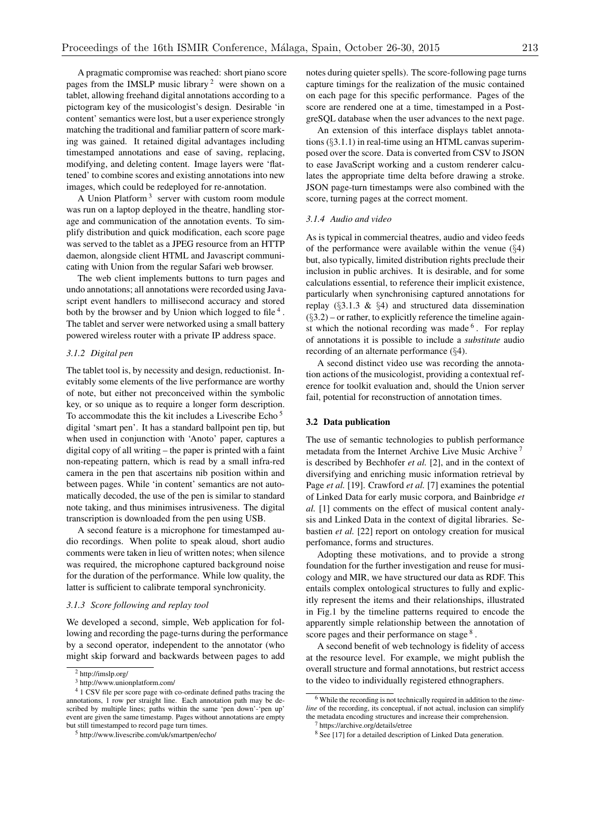A pragmatic compromise was reached: short piano score pages from the IMSLP music library<sup>2</sup> were shown on a tablet, allowing freehand digital annotations according to a pictogram key of the musicologist's design. Desirable 'in content' semantics were lost, but a user experience strongly matching the traditional and familiar pattern of score marking was gained. It retained digital advantages including timestamped annotations and ease of saving, replacing, modifying, and deleting content. Image layers were 'flattened' to combine scores and existing annotations into new images, which could be redeployed for re-annotation.

A Union Platform <sup>3</sup> server with custom room module was run on a laptop deployed in the theatre, handling storage and communication of the annotation events. To simplify distribution and quick modification, each score page was served to the tablet as a JPEG resource from an HTTP daemon, alongside client HTML and Javascript communicating with Union from the regular Safari web browser.

The web client implements buttons to turn pages and undo annotations; all annotations were recorded using Javascript event handlers to millisecond accuracy and stored both by the browser and by Union which logged to file  $4$ . The tablet and server were networked using a small battery powered wireless router with a private IP address space.

### *3.1.2 Digital pen*

The tablet tool is, by necessity and design, reductionist. Inevitably some elements of the live performance are worthy of note, but either not preconceived within the symbolic key, or so unique as to require a longer form description. To accommodate this the kit includes a Livescribe Echo<sup>5</sup> digital 'smart pen'. It has a standard ballpoint pen tip, but when used in conjunction with 'Anoto' paper, captures a digital copy of all writing – the paper is printed with a faint non-repeating pattern, which is read by a small infra-red camera in the pen that ascertains nib position within and between pages. While 'in content' semantics are not automatically decoded, the use of the pen is similar to standard note taking, and thus minimises intrusiveness. The digital transcription is downloaded from the pen using USB.

A second feature is a microphone for timestamped audio recordings. When polite to speak aloud, short audio comments were taken in lieu of written notes; when silence was required, the microphone captured background noise for the duration of the performance. While low quality, the latter is sufficient to calibrate temporal synchronicity.

## *3.1.3 Score following and replay tool*

We developed a second, simple, Web application for following and recording the page-turns during the performance by a second operator, independent to the annotator (who might skip forward and backwards between pages to add

notes during quieter spells). The score-following page turns capture timings for the realization of the music contained on each page for this specific performance. Pages of the score are rendered one at a time, timestamped in a PostgreSQL database when the user advances to the next page.

An extension of this interface displays tablet annotations (*§*3.1.1) in real-time using an HTML canvas superimposed over the score. Data is converted from CSV to JSON to ease JavaScript working and a custom renderer calculates the appropriate time delta before drawing a stroke. JSON page-turn timestamps were also combined with the score, turning pages at the correct moment.

#### *3.1.4 Audio and video*

As is typical in commercial theatres, audio and video feeds of the performance were available within the venue (*§*4) but, also typically, limited distribution rights preclude their inclusion in public archives. It is desirable, and for some calculations essential, to reference their implicit existence, particularly when synchronising captured annotations for replay (*§*3.1.3 & *§*4) and structured data dissemination (*§*3.2) – or rather, to explicitly reference the timeline against which the notional recording was made  $6$ . For replay of annotations it is possible to include a *substitute* audio recording of an alternate performance (*§*4).

A second distinct video use was recording the annotation actions of the musicologist, providing a contextual reference for toolkit evaluation and, should the Union server fail, potential for reconstruction of annotation times.

## 3.2 Data publication

The use of semantic technologies to publish performance metadata from the Internet Archive Live Music Archive<sup>7</sup> is described by Bechhofer *et al.* [2], and in the context of diversifying and enriching music information retrieval by Page *et al.* [19]. Crawford *et al.* [7] examines the potential of Linked Data for early music corpora, and Bainbridge *et al.* [1] comments on the effect of musical content analysis and Linked Data in the context of digital libraries. Sebastien *et al.* [22] report on ontology creation for musical perfomance, forms and structures.

Adopting these motivations, and to provide a strong foundation for the further investigation and reuse for musicology and MIR, we have structured our data as RDF. This entails complex ontological structures to fully and explicitly represent the items and their relationships, illustrated in Fig.1 by the timeline patterns required to encode the apparently simple relationship between the annotation of score pages and their performance on stage<sup>8</sup>.

A second benefit of web technology is fidelity of access at the resource level. For example, we might publish the overall structure and formal annotations, but restrict access to the video to individually registered ethnographers.

<sup>2</sup> http://imslp.org/

 $3$  http://www.unionplatform.com/

<sup>&</sup>lt;sup>4</sup> 1 CSV file per score page with co-ordinate defined paths tracing the annotations, 1 row per straight line. Each annotation path may be described by multiple lines; paths within the same 'pen down'-'pen up' event are given the same timestamp. Pages without annotations are empty but still timestamped to record page turn times.

<sup>5</sup> http://www.livescribe.com/uk/smartpen/echo/

<sup>6</sup> While the recording is not technically required in addition to the *timeline* of the recording, its conceptual, if not actual, inclusion can simplify the metadata encoding structures and increase their comprehension.

<sup>7</sup> https://archive.org/details/etree

<sup>&</sup>lt;sup>8</sup> See [17] for a detailed description of Linked Data generation.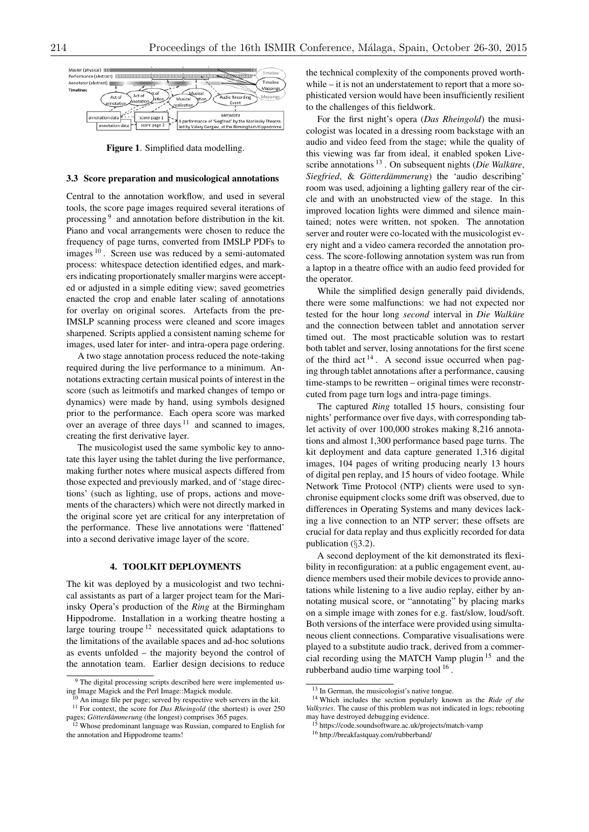

Figure 1. Simplified data modelling.

#### 3.3 Score preparation and musicological annotations

Central to the annotation workflow, and used in several tools, the score page images required several iterations of processing <sup>9</sup> and annotation before distribution in the kit. Piano and vocal arrangements were chosen to reduce the frequency of page turns, converted from IMSLP PDFs to images <sup>10</sup> . Screen use was reduced by a semi-automated process: whitespace detection identified edges, and markers indicating proportionately smaller margins were accepted or adjusted in a simple editing view; saved geometries enacted the crop and enable later scaling of annotations for overlay on original scores. Artefacts from the pre-IMSLP scanning process were cleaned and score images sharpened. Scripts applied a consistent naming scheme for images, used later for inter- and intra-opera page ordering.

A two stage annotation process reduced the note-taking required during the live performance to a minimum. Annotations extracting certain musical points of interest in the score (such as leitmotifs and marked changes of tempo or dynamics) were made by hand, using symbols designed prior to the performance. Each opera score was marked over an average of three days  $11$  and scanned to images, creating the first derivative layer.

The musicologist used the same symbolic key to annotate this layer using the tablet during the live performance, making further notes where musical aspects differed from those expected and previously marked, and of 'stage directions' (such as lighting, use of props, actions and movements of the characters) which were not directly marked in the original score yet are critical for any interpretation of the performance. These live annotations were 'flattened' into a second derivative image layer of the score.

# 4. TOOLKIT DEPLOYMENTS

The kit was deployed by a musicologist and two technical assistants as part of a larger project team for the Mariinsky Opera's production of the *Ring* at the Birmingham Hippodrome. Installation in a working theatre hosting a large touring troupe  $12$  necessitated quick adaptations to the limitations of the available spaces and ad-hoc solutions as events unfolded – the majority beyond the control of the annotation team. Earlier design decisions to reduce

the technical complexity of the components proved worthwhile – it is not an understatement to report that a more sophisticated version would have been insufficiently resilient to the challenges of this fieldwork.

For the first night's opera (*Das Rheingold*) the musicologist was located in a dressing room backstage with an audio and video feed from the stage; while the quality of this viewing was far from ideal, it enabled spoken Livescribe annotations <sup>13</sup> . On subsequent nights (*Die Walküre*, *Siegfried*, & *Gotterd ¨ ammerung ¨* ) the 'audio describing' room was used, adjoining a lighting gallery rear of the circle and with an unobstructed view of the stage. In this improved location lights were dimmed and silence maintained; notes were written, not spoken. The annotation server and router were co-located with the musicologist every night and a video camera recorded the annotation process. The score-following annotation system was run from a laptop in a theatre office with an audio feed provided for the operator.

While the simplified design generally paid dividends, there were some malfunctions: we had not expected nor tested for the hour long *second* interval in *Die Walküre* and the connection between tablet and annotation server timed out. The most practicable solution was to restart both tablet and server, losing annotations for the first scene of the third act  $14$ . A second issue occurred when paging through tablet annotations after a performance, causing time-stamps to be rewritten – original times were reconstrcuted from page turn logs and intra-page timings.

The captured *Ring* totalled 15 hours, consisting four nights' performance over five days, with corresponding tablet activity of over 100,000 strokes making 8,216 annotations and almost 1,300 performance based page turns. The kit deployment and data capture generated 1,316 digital images, 104 pages of writing producing nearly 13 hours of digital pen replay, and 15 hours of video footage. While Network Time Protocol (NTP) clients were used to synchronise equipment clocks some drift was observed, due to differences in Operating Systems and many devices lacking a live connection to an NTP server; these offsets are crucial for data replay and thus explicitly recorded for data publication (*§*3.2).

A second deployment of the kit demonstrated its flexibility in reconfiguration: at a public engagement event, audience members used their mobile devices to provide annotations while listening to a live audio replay, either by annotating musical score, or "annotating" by placing marks on a simple image with zones for e.g. fast/slow, loud/soft. Both versions of the interface were provided using simultaneous client connections. Comparative visualisations were played to a substitute audio track, derived from a commercial recording using the MATCH Vamp plugin <sup>15</sup> and the rubberband audio time warping tool<sup>16</sup>.

<sup>&</sup>lt;sup>9</sup> The digital processing scripts described here were implemented using Image Magick and the Perl Image::Magick module.

An image file per page; served by respective web servers in the kit.

<sup>&</sup>lt;sup>11</sup> For context, the score for *Das Rheingold* (the shortest) is over 250 pages; *Götterdämmerung* (the longest) comprises 365 pages. <sup>12</sup> Whose predominant language was Russian, compared to English for

the annotation and Hippodrome teams!

<sup>&</sup>lt;sup>13</sup> In German, the musicologist's native tongue.

<sup>14</sup> Which includes the section popularly known as the *Ride of the Valkyries*. The cause of this problem was not indicated in logs; rebooting may have destroyed debugging evidence.<br><sup>15</sup> https://code.soundsoftware.ac.uk/projects/match-vamp

<sup>16</sup> http://breakfastquay.com/rubberband/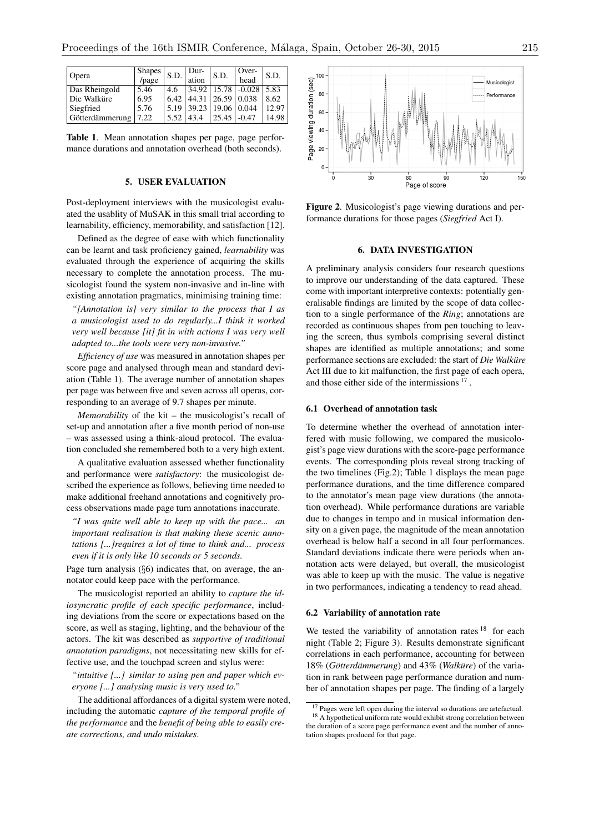| <b>Opera</b>    | Shapes <sup>1</sup><br>/page | S.D. | Dur-<br>ation | S.D.               | Over-<br>head            | S.D.  |
|-----------------|------------------------------|------|---------------|--------------------|--------------------------|-------|
|                 |                              |      |               |                    |                          |       |
| Das Rheingold   | 5.46                         | 4.6  |               |                    | $34.92$   15.78   -0.028 | 5.83  |
| Die Walküre     | 6.95                         | 6.42 | 44.31         | $26.59 \mid 0.038$ |                          | 8.62  |
| Siegfried       | 5.76                         | 5.19 | 39.23         | 19.06              | 0.044                    | 12.97 |
| Götterdämmerung | 7.22                         | 5.52 | 43.4          | 25.45              | $-0.47$                  | 14.98 |

Table 1. Mean annotation shapes per page, page performance durations and annotation overhead (both seconds).

## 5. USER EVALUATION

Post-deployment interviews with the musicologist evaluated the usablity of MuSAK in this small trial according to learnability, efficiency, memorability, and satisfaction [12].

Defined as the degree of ease with which functionality can be learnt and task proficiency gained, *learnability* was evaluated through the experience of acquiring the skills necessary to complete the annotation process. The musicologist found the system non-invasive and in-line with existing annotation pragmatics, minimising training time:

*"[Annotation is] very similar to the process that I as a musicologist used to do regularly...I think it worked very well because [it] fit in with actions I was very well adapted to...the tools were very non-invasive."*

*Efficiency of use* was measured in annotation shapes per score page and analysed through mean and standard deviation (Table 1). The average number of annotation shapes per page was between five and seven across all operas, corresponding to an average of 9.7 shapes per minute.

*Memorability* of the kit – the musicologist's recall of set-up and annotation after a five month period of non-use – was assessed using a think-aloud protocol. The evaluation concluded she remembered both to a very high extent.

A qualitative evaluation assessed whether functionality and performance were *satisfactory*: the musicologist described the experience as follows, believing time needed to make additional freehand annotations and cognitively process observations made page turn annotations inaccurate.

*"I was quite well able to keep up with the pace... an important realisation is that making these scenic annotations [...]requires a lot of time to think and... process even if it is only like 10 seconds or 5 seconds.*

Page turn analysis (*§*6) indicates that, on average, the annotator could keep pace with the performance.

The musicologist reported an ability to *capture the idiosyncratic profile of each specific performance*, including deviations from the score or expectations based on the score, as well as staging, lighting, and the behaviour of the actors. The kit was described as *supportive of traditional annotation paradigms*, not necessitating new skills for effective use, and the touchpad screen and stylus were:

*"intuitive [...] similar to using pen and paper which everyone [...] analysing music is very used to."*

The additional affordances of a digital system were noted, including the automatic *capture of the temporal profile of the performance* and the *benefit of being able to easily create corrections, and undo mistakes*.



Figure 2. Musicologist's page viewing durations and performance durations for those pages (*Siegfried* Act I).

#### 6. DATA INVESTIGATION

A preliminary analysis considers four research questions to improve our understanding of the data captured. These come with important interpretive contexts: potentially generalisable findings are limited by the scope of data collection to a single performance of the *Ring*; annotations are recorded as continuous shapes from pen touching to leaving the screen, thus symbols comprising several distinct shapes are identified as multiple annotations; and some performance sections are excluded: the start of *Die Walküre* Act III due to kit malfunction, the first page of each opera, and those either side of the intermissions <sup>17</sup> .

### 6.1 Overhead of annotation task

To determine whether the overhead of annotation interfered with music following, we compared the musicologist's page view durations with the score-page performance events. The corresponding plots reveal strong tracking of the two timelines (Fig.2); Table 1 displays the mean page performance durations, and the time difference compared to the annotator's mean page view durations (the annotation overhead). While performance durations are variable due to changes in tempo and in musical information density on a given page, the magnitude of the mean annotation overhead is below half a second in all four performances. Standard deviations indicate there were periods when annotation acts were delayed, but overall, the musicologist was able to keep up with the music. The value is negative in two performances, indicating a tendency to read ahead.

#### 6.2 Variability of annotation rate

We tested the variability of annotation rates  $18$  for each night (Table 2; Figure 3). Results demonstrate significant correlations in each performance, accounting for between 18% (*Götterdämmerung*) and 43% (*Walküre*) of the variation in rank between page performance duration and number of annotation shapes per page. The finding of a largely

<sup>&</sup>lt;sup>17</sup> Pages were left open during the interval so durations are artefactual. <sup>18</sup> A hypothetical uniform rate would exhibit strong correlation between

the duration of a score page performance event and the number of annotation shapes produced for that page.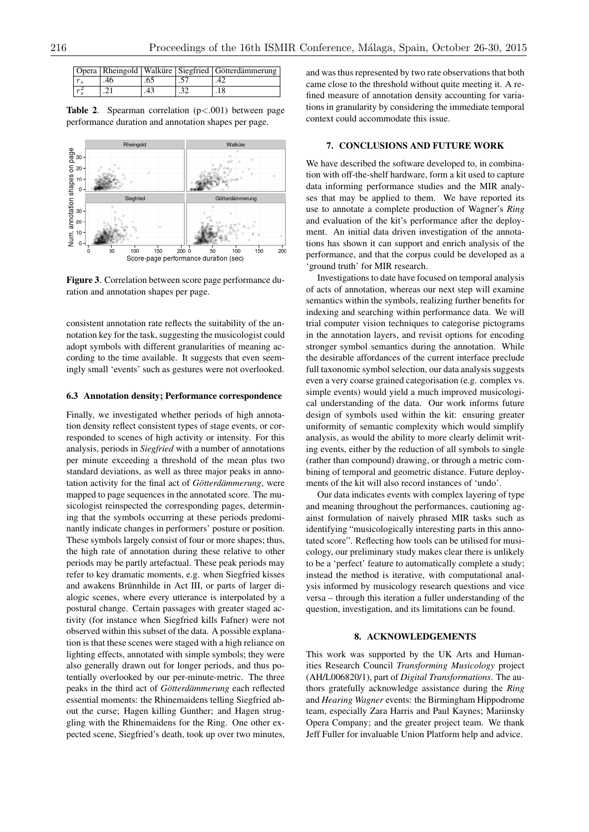|    |     | Opera   Rheingold   Walküre   Siegfried   Götterdämmerung |
|----|-----|-----------------------------------------------------------|
| 46 | .65 |                                                           |
|    | .43 |                                                           |

Table 2. Spearman correlation (p*<*.001) between page performance duration and annotation shapes per page.



Figure 3. Correlation between score page performance duration and annotation shapes per page.

consistent annotation rate reflects the suitability of the annotation key for the task, suggesting the musicologist could adopt symbols with different granularities of meaning according to the time available. It suggests that even seemingly small 'events' such as gestures were not overlooked.

### 6.3 Annotation density; Performance correspondence

Finally, we investigated whether periods of high annotation density reflect consistent types of stage events, or corresponded to scenes of high activity or intensity. For this analysis, periods in *Siegfried* with a number of annotations per minute exceeding a threshold of the mean plus two standard deviations, as well as three major peaks in annotation activity for the final act of *Götterdämmerung*, were mapped to page sequences in the annotated score. The musicologist reinspected the corresponding pages, determining that the symbols occurring at these periods predominantly indicate changes in performers' posture or position. These symbols largely consist of four or more shapes; thus, the high rate of annotation during these relative to other periods may be partly artefactual. These peak periods may refer to key dramatic moments, e.g. when Siegfried kisses and awakens Brünnhilde in Act III, or parts of larger dialogic scenes, where every utterance is interpolated by a postural change. Certain passages with greater staged activity (for instance when Siegfried kills Fafner) were not observed within this subset of the data. A possible explanation is that these scenes were staged with a high reliance on lighting effects, annotated with simple symbols; they were also generally drawn out for longer periods, and thus potentially overlooked by our per-minute-metric. The three peaks in the third act of *Götterdämmerung* each reflected essential moments: the Rhinemaidens telling Siegfried about the curse; Hagen killing Gunther; and Hagen struggling with the Rhinemaidens for the Ring. One other expected scene, Siegfried's death, took up over two minutes, and was thus represented by two rate observations that both came close to the threshold without quite meeting it. A refined measure of annotation density accounting for variations in granularity by considering the immediate temporal context could accommodate this issue.

# 7. CONCLUSIONS AND FUTURE WORK

We have described the software developed to, in combination with off-the-shelf hardware, form a kit used to capture data informing performance studies and the MIR analyses that may be applied to them. We have reported its use to annotate a complete production of Wagner's *Ring* and evaluation of the kit's performance after the deployment. An initial data driven investigation of the annotations has shown it can support and enrich analysis of the performance, and that the corpus could be developed as a 'ground truth' for MIR research.

Investigations to date have focused on temporal analysis of acts of annotation, whereas our next step will examine semantics within the symbols, realizing further benefits for indexing and searching within performance data. We will trial computer vision techniques to categorise pictograms in the annotation layers, and revisit options for encoding stronger symbol semantics during the annotation. While the desirable affordances of the current interface preclude full taxonomic symbol selection, our data analysis suggests even a very coarse grained categorisation (e.g. complex vs. simple events) would yield a much improved musicological understanding of the data. Our work informs future design of symbols used within the kit: ensuring greater uniformity of semantic complexity which would simplify analysis, as would the ability to more clearly delimit writing events, either by the reduction of all symbols to single (rather than compound) drawing, or through a metric combining of temporal and geometric distance. Future deployments of the kit will also record instances of 'undo'.

Our data indicates events with complex layering of type and meaning throughout the performances, cautioning against formulation of naively phrased MIR tasks such as identifying "musicologically interesting parts in this annotated score". Reflecting how tools can be utilised for musicology, our preliminary study makes clear there is unlikely to be a 'perfect' feature to automatically complete a study; instead the method is iterative, with computational analysis informed by musicology research questions and vice versa – through this iteration a fuller understanding of the question, investigation, and its limitations can be found.

#### 8. ACKNOWLEDGEMENTS

This work was supported by the UK Arts and Humanities Research Council *Transforming Musicology* project (AH/L006820/1), part of *Digital Transformations*. The authors gratefully acknowledge assistance during the *Ring* and *Hearing Wagner* events: the Birmingham Hippodrome team, especially Zara Harris and Paul Kaynes; Mariinsky Opera Company; and the greater project team. We thank Jeff Fuller for invaluable Union Platform help and advice.